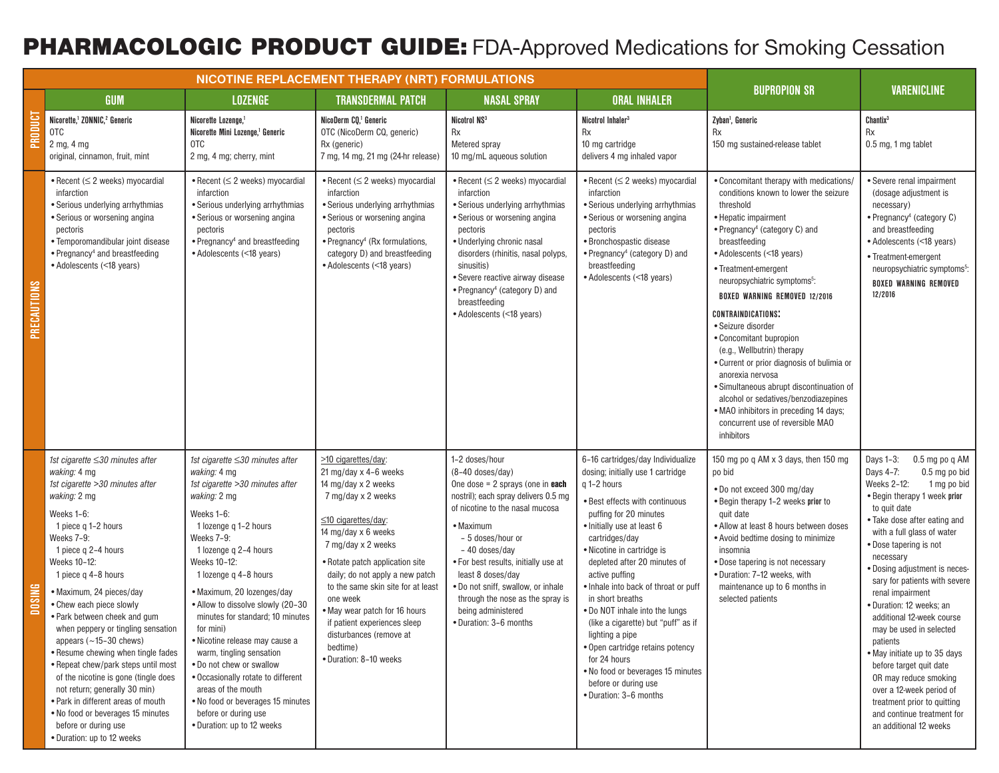## PHARMACOLOGIC PRODUCT GUIDE: FDA-Approved Medications for Smoking Cessation

|               | GUM                                                                                                                                                                                                                                                                                                                                                                                                                                                                                                                                                                                                                                                                  | <b>LOZENGE</b>                                                                                                                                                                                                                                                                                                                                                                                                                                                                                                                                                                                 | <b>TRANSDERMAL PATCH</b>                                                                                                                                                                                                                                                                                                                                                                                                             | <b>NASAL SPRAY</b>                                                                                                                                                                                                                                                                                                                                                                                      | <b>ORAL INHALER</b>                                                                                                                                                                                                                                                                                                                                                                                                                                                                                                                                                                  | <b>BUPROPION SR</b>                                                                                                                                                                                                                                                                                                                                                                                                                                                                                                                                                                                                                                                                        | <b>VARENICLINE</b>                                                                                                                                                                                                                                                                                                                                                                                                                                                                                                                                                                                                                        |
|---------------|----------------------------------------------------------------------------------------------------------------------------------------------------------------------------------------------------------------------------------------------------------------------------------------------------------------------------------------------------------------------------------------------------------------------------------------------------------------------------------------------------------------------------------------------------------------------------------------------------------------------------------------------------------------------|------------------------------------------------------------------------------------------------------------------------------------------------------------------------------------------------------------------------------------------------------------------------------------------------------------------------------------------------------------------------------------------------------------------------------------------------------------------------------------------------------------------------------------------------------------------------------------------------|--------------------------------------------------------------------------------------------------------------------------------------------------------------------------------------------------------------------------------------------------------------------------------------------------------------------------------------------------------------------------------------------------------------------------------------|---------------------------------------------------------------------------------------------------------------------------------------------------------------------------------------------------------------------------------------------------------------------------------------------------------------------------------------------------------------------------------------------------------|--------------------------------------------------------------------------------------------------------------------------------------------------------------------------------------------------------------------------------------------------------------------------------------------------------------------------------------------------------------------------------------------------------------------------------------------------------------------------------------------------------------------------------------------------------------------------------------|--------------------------------------------------------------------------------------------------------------------------------------------------------------------------------------------------------------------------------------------------------------------------------------------------------------------------------------------------------------------------------------------------------------------------------------------------------------------------------------------------------------------------------------------------------------------------------------------------------------------------------------------------------------------------------------------|-------------------------------------------------------------------------------------------------------------------------------------------------------------------------------------------------------------------------------------------------------------------------------------------------------------------------------------------------------------------------------------------------------------------------------------------------------------------------------------------------------------------------------------------------------------------------------------------------------------------------------------------|
| PRODUCT       | Nicorette, <sup>1</sup> ZONNIC, <sup>2</sup> Generic<br>0TC<br>2 mg, 4 mg<br>original, cinnamon, fruit, mint                                                                                                                                                                                                                                                                                                                                                                                                                                                                                                                                                         | Nicorette Lozenge. <sup>1</sup><br>Nicorette Mini Lozenge. <sup>1</sup> Generic<br>0TC<br>2 mg, 4 mg; cherry, mint                                                                                                                                                                                                                                                                                                                                                                                                                                                                             | NicoDerm CQ. <sup>1</sup> Generic<br>OTC (NicoDerm CQ, generic)<br>Rx (generic)<br>7 mg, 14 mg, 21 mg (24-hr release)                                                                                                                                                                                                                                                                                                                | Nicotrol NS <sup>3</sup><br><b>Rx</b><br>Metered spray<br>10 mg/mL aqueous solution                                                                                                                                                                                                                                                                                                                     | Nicotrol Inhaler <sup>3</sup><br><b>Rx</b><br>10 mg cartridge<br>delivers 4 mg inhaled vapor                                                                                                                                                                                                                                                                                                                                                                                                                                                                                         | Zyban <sup>1</sup> , Generic<br><b>Rx</b><br>150 mg sustained-release tablet                                                                                                                                                                                                                                                                                                                                                                                                                                                                                                                                                                                                               | Chantix <sup>3</sup><br><b>Rx</b><br>$0.5$ mg, 1 mg tablet                                                                                                                                                                                                                                                                                                                                                                                                                                                                                                                                                                                |
| PRECAUTIONS   | • Recent $( \leq 2$ weeks) myocardial<br>infarction<br>· Serious underlying arrhythmias<br>• Serious or worsening angina<br>pectoris<br>• Temporomandibular joint disease<br>• Pregnancy <sup>4</sup> and breastfeeding<br>• Adolescents (<18 years)                                                                                                                                                                                                                                                                                                                                                                                                                 | $\bullet$ Recent ( $\leq$ 2 weeks) myocardial<br>infarction<br>• Serious underlying arrhythmias<br>• Serious or worsening angina<br>pectoris<br>• Pregnancy <sup>4</sup> and breastfeeding<br>• Adolescents (<18 years)                                                                                                                                                                                                                                                                                                                                                                        | • Recent ( $\leq$ 2 weeks) myocardial<br>infarction<br>• Serious underlying arrhythmias<br>· Serious or worsening angina<br>pectoris<br>• Pregnancy <sup>4</sup> (Rx formulations,<br>category D) and breastfeeding<br>• Adolescents (<18 years)                                                                                                                                                                                     | • Recent ( $\leq$ 2 weeks) myocardial<br>infarction<br>• Serious underlying arrhythmias<br>• Serious or worsening angina<br>pectoris<br>· Underlying chronic nasal<br>disorders (rhinitis, nasal polyps,<br>sinusitis)<br>· Severe reactive airway disease<br>• Pregnancy <sup>4</sup> (category D) and<br>breastfeeding<br>• Adolescents (<18 years)                                                   | • Recent $(\leq 2$ weeks) myocardial<br>infarction<br>• Serious underlying arrhythmias<br>· Serious or worsening angina<br>pectoris<br>· Bronchospastic disease<br>• Pregnancy <sup>4</sup> (category D) and<br>breastfeeding<br>• Adolescents (<18 years)                                                                                                                                                                                                                                                                                                                           | • Concomitant therapy with medications/<br>conditions known to lower the seizure<br>threshold<br>• Hepatic impairment<br>• Pregnancy <sup>4</sup> (category C) and<br>breastfeeding<br>• Adolescents (<18 years)<br>• Treatment-emergent<br>neuropsychiatric symptoms <sup>5</sup> :<br><b>BOXED WARNING REMOVED 12/2016</b><br><b>CONTRAINDICATIONS:</b><br>• Seizure disorder<br>• Concomitant bupropion<br>(e.g., Wellbutrin) therapy<br>• Current or prior diagnosis of bulimia or<br>anorexia nervosa<br>· Simultaneous abrupt discontinuation of<br>alcohol or sedatives/benzodiazepines<br>. MAO inhibitors in preceding 14 days;<br>concurrent use of reversible MAO<br>inhibitors | • Severe renal impairment<br>(dosage adjustment is<br>necessary)<br>• Pregnancy <sup>4</sup> (category C)<br>and breastfeeding<br>• Adolescents (<18 years)<br>• Treatment-emergent<br>neuropsychiatric symptoms <sup>5</sup> :<br><b>BOXED WARNING REMOVED</b><br>12/2016                                                                                                                                                                                                                                                                                                                                                                |
| <b>DOSING</b> | 1st cigarette ≤30 minutes after<br>waking: 4 mg<br>1st cigarette >30 minutes after<br>waking: 2 mg<br>Weeks 1-6:<br>1 piece g 1-2 hours<br>Weeks 7-9:<br>1 piece q 2-4 hours<br>Weeks 10-12:<br>1 piece q 4-8 hours<br>• Maximum, 24 pieces/day<br>• Chew each piece slowly<br>• Park between cheek and gum<br>when peppery or tingling sensation<br>appears $(-15-30$ chews)<br>• Resume chewing when tingle fades<br>• Repeat chew/park steps until most<br>of the nicotine is gone (tingle does<br>not return; generally 30 min)<br>• Park in different areas of mouth<br>. No food or beverages 15 minutes<br>before or during use<br>. Duration: up to 12 weeks | 1st cigarette ≤30 minutes after<br>waking: 4 mg<br>1st cigarette >30 minutes after<br>waking: 2 mg<br>Weeks 1-6:<br>1 lozenge q 1-2 hours<br>Weeks 7-9:<br>1 lozenge q 2-4 hours<br>Weeks 10-12:<br>1 lozenge q 4-8 hours<br>• Maximum, 20 lozenges/day<br>• Allow to dissolve slowly (20-30<br>minutes for standard; 10 minutes<br>for mini)<br>• Nicotine release may cause a<br>warm, tingling sensation<br>. Do not chew or swallow<br>• Occasionally rotate to different<br>areas of the mouth<br>. No food or beverages 15 minutes<br>before or during use<br>• Duration: up to 12 weeks | >10 cigarettes/day:<br>21 mg/day $\times$ 4-6 weeks<br>14 mg/day x 2 weeks<br>7 mg/day x 2 weeks<br>$\leq$ 10 cigarettes/day:<br>14 mg/day x 6 weeks<br>7 mg/day x 2 weeks<br>• Rotate patch application site<br>daily; do not apply a new patch<br>to the same skin site for at least<br>one week<br>• May wear patch for 16 hours<br>if patient experiences sleep<br>disturbances (remove at<br>bedtime)<br>· Duration: 8-10 weeks | 1-2 doses/hour<br>$(8-40$ doses/day)<br>One dose = $2$ sprays (one in <b>each</b><br>nostril); each spray delivers 0.5 mg<br>of nicotine to the nasal mucosa<br>• Maximum<br>- 5 doses/hour or<br>- 40 doses/day<br>. For best results, initially use at<br>least 8 doses/day<br>. Do not sniff, swallow, or inhale<br>through the nose as the spray is<br>being administered<br>· Duration: 3-6 months | 6-16 cartridges/day Individualize<br>dosing; initially use 1 cartridge<br>g 1-2 hours<br>· Best effects with continuous<br>puffing for 20 minutes<br>• Initially use at least 6<br>cartridges/day<br>• Nicotine in cartridge is<br>depleted after 20 minutes of<br>active puffing<br>. Inhale into back of throat or puff<br>in short breaths<br>. Do NOT inhale into the lungs<br>(like a cigarette) but "puff" as if<br>lighting a pipe<br>. Open cartridge retains potency<br>for 24 hours<br>. No food or beverages 15 minutes<br>before or during use<br>• Duration: 3-6 months | 150 mg po q AM x 3 days, then 150 mg<br>po bid<br>. Do not exceed 300 mg/day<br>. Begin therapy 1-2 weeks prior to<br>quit date<br>• Allow at least 8 hours between doses<br>• Avoid bedtime dosing to minimize<br>insomnia<br>• Dose tapering is not necessary<br>• Duration: 7-12 weeks, with<br>maintenance up to 6 months in<br>selected patients                                                                                                                                                                                                                                                                                                                                      | Days 1-3:<br>0.5 mg po q AM<br>Days 4-7:<br>0.5 mg po bid<br>Weeks 2-12:<br>1 mg po bid<br>• Begin therapy 1 week prior<br>to quit date<br>• Take dose after eating and<br>with a full glass of water<br>• Dose tapering is not<br>necessary<br>· Dosing adjustment is neces-<br>sary for patients with severe<br>renal impairment<br>· Duration: 12 weeks; an<br>additional 12-week course<br>may be used in selected<br>patients<br>. May initiate up to 35 days<br>before target quit date<br>OR may reduce smoking<br>over a 12-week period of<br>treatment prior to quitting<br>and continue treatment for<br>an additional 12 weeks |